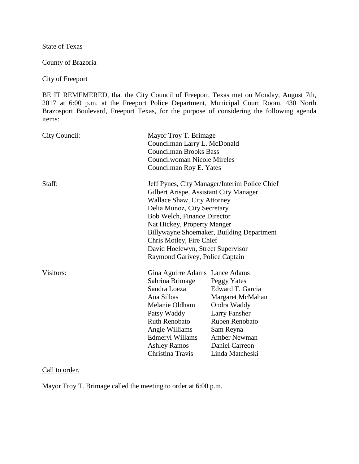State of Texas

County of Brazoria

City of Freeport

BE IT REMEMERED, that the City Council of Freeport, Texas met on Monday, August 7th, 2017 at 6:00 p.m. at the Freeport Police Department, Municipal Court Room, 430 North Brazosport Boulevard, Freeport Texas, for the purpose of considering the following agenda items:

| City Council: |                                                                                                                                                                                                                          | Mayor Troy T. Brimage<br>Councilman Larry L. McDonald<br><b>Councilman Brooks Bass</b><br>Councilwoman Nicole Mireles<br>Councilman Roy E. Yates                                                                                                                                                                                                                            |  |
|---------------|--------------------------------------------------------------------------------------------------------------------------------------------------------------------------------------------------------------------------|-----------------------------------------------------------------------------------------------------------------------------------------------------------------------------------------------------------------------------------------------------------------------------------------------------------------------------------------------------------------------------|--|
| Staff:        |                                                                                                                                                                                                                          | Jeff Pynes, City Manager/Interim Police Chief<br>Gilbert Arispe, Assistant City Manager<br><b>Wallace Shaw, City Attorney</b><br>Delia Munoz, City Secretary<br>Bob Welch, Finance Director<br>Nat Hickey, Property Manger<br>Billywayne Shoemaker, Building Department<br>Chris Motley, Fire Chief<br>David Hoelewyn, Street Supervisor<br>Raymond Garivey, Police Captain |  |
| Visitors:     | Gina Aguirre Adams Lance Adams<br>Sabrina Brimage<br>Sandra Loeza<br>Ana Silbas<br>Melanie Oldham<br>Patsy Waddy<br><b>Ruth Renobato</b><br>Angie Williams<br>Edmeryl Willams<br><b>Ashley Ramos</b><br>Christina Travis | Peggy Yates<br>Edward T. Garcia<br>Margaret McMahan<br>Ondra Waddy<br><b>Larry Fansher</b><br>Ruben Renobato<br>Sam Reyna<br><b>Amber Newman</b><br>Daniel Carreon<br>Linda Matcheski                                                                                                                                                                                       |  |

Call to order.

Mayor Troy T. Brimage called the meeting to order at 6:00 p.m.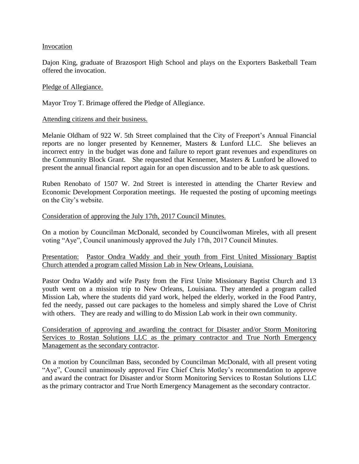#### Invocation

Dajon King, graduate of Brazosport High School and plays on the Exporters Basketball Team offered the invocation.

#### Pledge of Allegiance.

Mayor Troy T. Brimage offered the Pledge of Allegiance.

#### Attending citizens and their business.

Melanie Oldham of 922 W. 5th Street complained that the City of Freeport's Annual Financial reports are no longer presented by Kennemer, Masters & Lunford LLC. She believes an incorrect entry in the budget was done and failure to report grant revenues and expenditures on the Community Block Grant. She requested that Kennemer, Masters & Lunford be allowed to present the annual financial report again for an open discussion and to be able to ask questions.

Ruben Renobato of 1507 W. 2nd Street is interested in attending the Charter Review and Economic Development Corporation meetings. He requested the posting of upcoming meetings on the City's website.

#### Consideration of approving the July 17th, 2017 Council Minutes.

On a motion by Councilman McDonald, seconded by Councilwoman Mireles, with all present voting "Aye", Council unanimously approved the July 17th, 2017 Council Minutes.

# Presentation: Pastor Ondra Waddy and their youth from First United Missionary Baptist Church attended a program called Mission Lab in New Orleans, Louisiana.

Pastor Ondra Waddy and wife Pasty from the First Unite Missionary Baptist Church and 13 youth went on a mission trip to New Orleans, Louisiana. They attended a program called Mission Lab, where the students did yard work, helped the elderly, worked in the Food Pantry, fed the needy, passed out care packages to the homeless and simply shared the Love of Christ with others. They are ready and willing to do Mission Lab work in their own community.

Consideration of approving and awarding the contract for Disaster and/or Storm Monitoring Services to Rostan Solutions LLC as the primary contractor and True North Emergency Management as the secondary contractor.

On a motion by Councilman Bass, seconded by Councilman McDonald, with all present voting "Aye", Council unanimously approved Fire Chief Chris Motley's recommendation to approve and award the contract for Disaster and/or Storm Monitoring Services to Rostan Solutions LLC as the primary contractor and True North Emergency Management as the secondary contractor.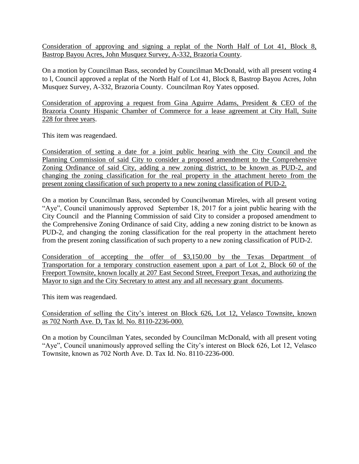Consideration of approving and signing a replat of the North Half of Lot 41, Block 8, Bastrop Bayou Acres, John Musquez Survey, A-332, Brazoria County.

On a motion by Councilman Bass, seconded by Councilman McDonald, with all present voting 4 to l, Council approved a replat of the North Half of Lot 41, Block 8, Bastrop Bayou Acres, John Musquez Survey, A-332, Brazoria County. Councilman Roy Yates opposed.

Consideration of approving a request from Gina Aguirre Adams, President & CEO of the Brazoria County Hispanic Chamber of Commerce for a lease agreement at City Hall, Suite 228 for three years.

This item was reagendaed.

Consideration of setting a date for a joint public hearing with the City Council and the Planning Commission of said City to consider a proposed amendment to the Comprehensive Zoning Ordinance of said City, adding a new zoning district, to be known as PUD-2, and changing the zoning classification for the real property in the attachment hereto from the present zoning classification of such property to a new zoning classification of PUD-2.

On a motion by Councilman Bass, seconded by Councilwoman Mireles, with all present voting "Aye", Council unanimously approved September 18, 2017 for a joint public hearing with the City Council and the Planning Commission of said City to consider a proposed amendment to the Comprehensive Zoning Ordinance of said City, adding a new zoning district to be known as PUD-2, and changing the zoning classification for the real property in the attachment hereto from the present zoning classification of such property to a new zoning classification of PUD-2.

Consideration of accepting the offer of \$3,150.00 by the Texas Department of Transportation for a temporary construction easement upon a part of Lot 2, Block 60 of the Freeport Townsite, known locally at 207 East Second Street, Freeport Texas, and authorizing the Mayor to sign and the City Secretary to attest any and all necessary grant documents.

This item was reagendaed.

Consideration of selling the City's interest on Block 626, Lot 12, Velasco Townsite, known as 702 North Ave. D, Tax Id. No. 8110-2236-000.

On a motion by Councilman Yates, seconded by Councilman McDonald, with all present voting "Aye", Council unanimously approved selling the City's interest on Block 626, Lot 12, Velasco Townsite, known as 702 North Ave. D. Tax Id. No. 8110-2236-000.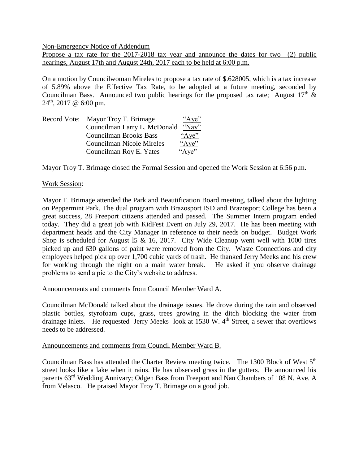Non-Emergency Notice of Addendum

Propose a tax rate for the 2017-2018 tax year and announce the dates for two (2) public hearings, August 17th and August 24th, 2017 each to be held at 6:00 p.m.

On a motion by Councilwoman Mireles to propose a tax rate of \$.628005, which is a tax increase of 5.89% above the Effective Tax Rate, to be adopted at a future meeting, seconded by Councilman Bass. Announced two public hearings for the proposed tax rate; August  $17<sup>th</sup> \&$  $24<sup>th</sup>$ , 2017 @ 6:00 pm.

| Record Vote: Mayor Troy T. Brimage | "Aye"         |
|------------------------------------|---------------|
| Councilman Larry L. McDonald       | $\gamma$ Nay" |
| <b>Councilman Brooks Bass</b>      | "Aye"         |
| <b>Councilman Nicole Mireles</b>   | "Aye"         |
| Councilman Roy E. Yates            | "Aye"         |

Mayor Troy T. Brimage closed the Formal Session and opened the Work Session at 6:56 p.m.

## Work Session:

Mayor T. Brimage attended the Park and Beautification Board meeting, talked about the lighting on Peppermint Park. The dual program with Brazosport ISD and Brazosport College has been a great success, 28 Freeport citizens attended and passed. The Summer Intern program ended today. They did a great job with KidFest Event on July 29, 2017. He has been meeting with department heads and the City Manager in reference to their needs on budget. Budget Work Shop is scheduled for August 15  $\&$  16, 2017. City Wide Cleanup went well with 1000 tires picked up and 630 gallons of paint were removed from the City. Waste Connections and city employees helped pick up over 1,700 cubic yards of trash. He thanked Jerry Meeks and his crew for working through the night on a main water break. He asked if you observe drainage problems to send a pic to the City's website to address.

## Announcements and comments from Council Member Ward A.

Councilman McDonald talked about the drainage issues. He drove during the rain and observed plastic bottles, styrofoam cups, grass, trees growing in the ditch blocking the water from drainage inlets. He requested Jerry Meeks look at  $1530$  W.  $4<sup>th</sup>$  Street, a sewer that overflows needs to be addressed.

#### Announcements and comments from Council Member Ward B.

Councilman Bass has attended the Charter Review meeting twice. The 1300 Block of West 5<sup>th</sup> street looks like a lake when it rains. He has observed grass in the gutters. He announced his parents 63rd Wedding Annivary; Odgen Bass from Freeport and Nan Chambers of 108 N. Ave. A from Velasco. He praised Mayor Troy T. Brimage on a good job.